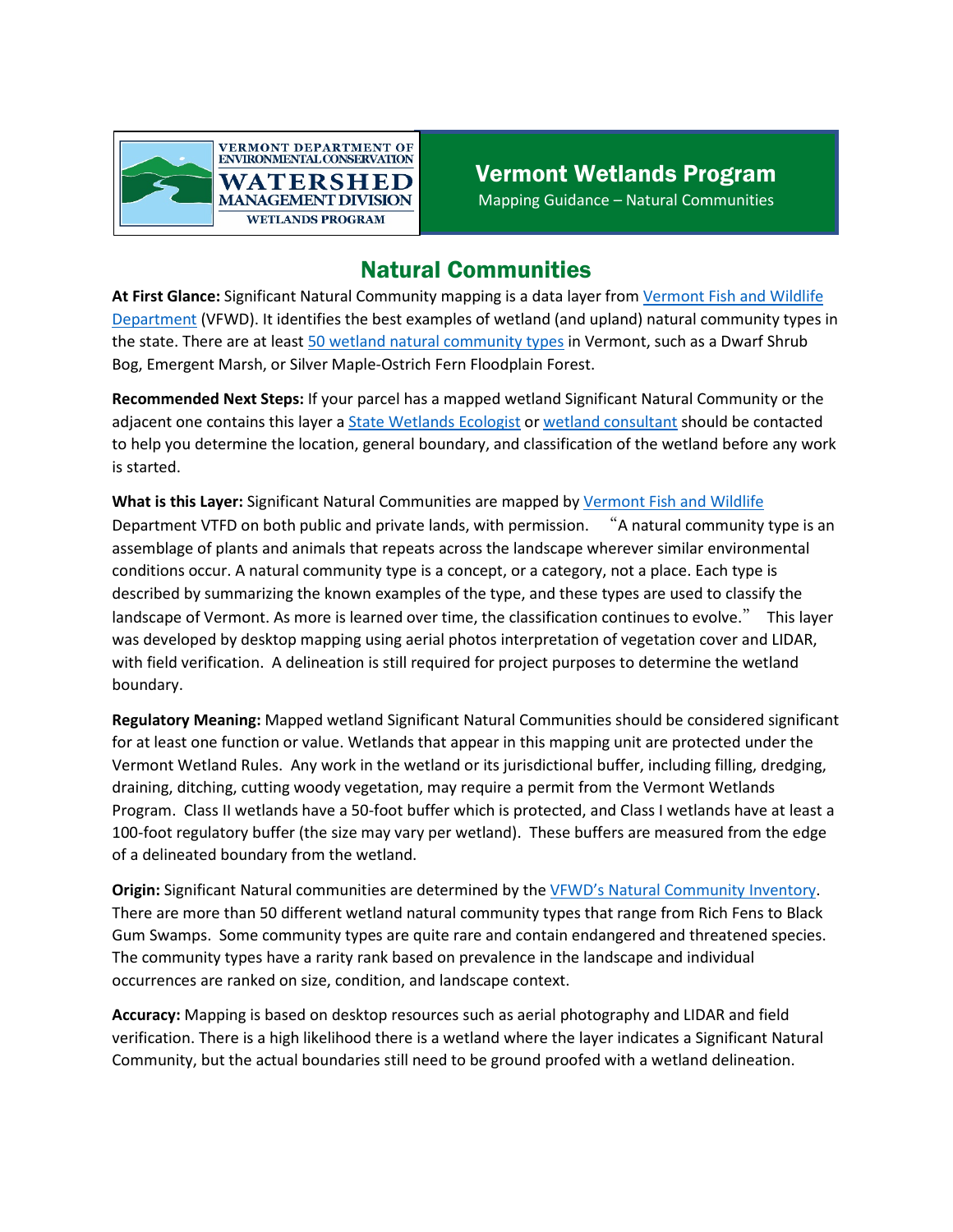

## Natural Communities

**At First Glance:** Significant Natural Community mapping is a data layer from [Vermont Fish and Wildlife](https://vtfishandwildlife.com/conserve/conservation-planning/natural-community-inventory) Department (VFWD). It identifies the best examples of wetland (and upland) natural community types in the state. There are at least [50 wetland natural community types](file:///C:%5CUsers%5Ceverettm%5CAppData%5CLocal%5CMicrosoft%5CWindows%5CINetCache%5CContent.Outlook%5C2O5VXX6N%5CAdd%20this%20link%20as%20a%20hyper%20link.%20https:%5Cvtfishandwildlife.com%5Csites%5Cfishandwildlife%5Cfiles%5Cdocuments%5CLearn%20More%5CLibrary%5CREPORTS%20AND%20DOCUMENTS%5CNONGAME%20AND%20NATURAL%20HERITAGE%5CNATURAL%20COMMUNITIES%5CVT-Natural-Comm-Types.pdf) in Vermont, such as a Dwarf Shrub Bog, Emergent Marsh, or Silver Maple-Ostrich Fern Floodplain Forest.

**Recommended Next Steps:** If your parcel has a mapped wetland Significant Natural Community or the adjacent one contains this layer a [State Wetlands Ecologist](https://dec.vermont.gov/watershed/wetlands/contact) or [wetland consultant](https://dec.vermont.gov/watershed/wetlands/what/id/wetland-consultant-list) should be contacted to help you determine the location, general boundary, and classification of the wetland before any work is started.

**What is this Layer:** Significant Natural Communities are mapped by [Vermont Fish and Wildlife](https://vtfishandwildlife.com/conserve/conservation-planning/natural-community-inventory) Department VTFD on both public and private lands, with permission. "A natural community type is an assemblage of plants and animals that repeats across the landscape wherever similar environmental conditions occur. A natural community type is a concept, or a category, not a place. Each type is described by summarizing the known examples of the type, and these types are used to classify the landscape of Vermont. As more is learned over time, the classification continues to evolve." This layer was developed by desktop mapping using aerial photos interpretation of vegetation cover and LIDAR, with field verification. A delineation is still required for project purposes to determine the wetland boundary.

**Regulatory Meaning:** Mapped wetland Significant Natural Communities should be considered significant for at least one function or value. Wetlands that appear in this mapping unit are protected under the Vermont Wetland Rules. Any work in the wetland or its jurisdictional buffer, including filling, dredging, draining, ditching, cutting woody vegetation, may require a permit from the Vermont Wetlands Program. Class II wetlands have a 50-foot buffer which is protected, and Class I wetlands have at least a 100-foot regulatory buffer (the size may vary per wetland). These buffers are measured from the edge of a delineated boundary from the wetland.

**Origin:** Significant Natural communities are determined by the VFWD's [Natural Community Inventory.](https://vtfishandwildlife.com/conserve/conservation-planning/natural-community-inventory) There are more than 50 different wetland natural community types that range from Rich Fens to Black Gum Swamps. Some community types are quite rare and contain endangered and threatened species. The community types have a rarity rank based on prevalence in the landscape and individual occurrences are ranked on size, condition, and landscape context.

**Accuracy:** Mapping is based on desktop resources such as aerial photography and LIDAR and field verification. There is a high likelihood there is a wetland where the layer indicates a Significant Natural Community, but the actual boundaries still need to be ground proofed with a wetland delineation.